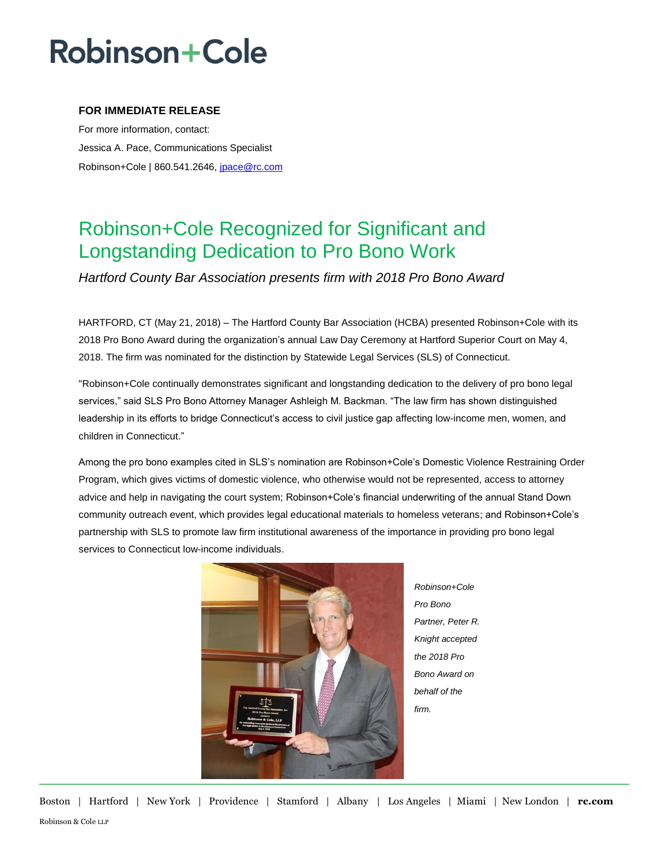## **Robinson+Cole**

### **FOR IMMEDIATE RELEASE**

For more information, contact: Jessica A. Pace, Communications Specialist Robinson+Cole | 860.541.2646, [jpace@rc.com](mailto:jgagnon@rc.com)

### Robinson+Cole Recognized for Significant and Longstanding Dedication to Pro Bono Work

*Hartford County Bar Association presents firm with 2018 Pro Bono Award*

HARTFORD, CT (May 21, 2018) – The Hartford County Bar Association (HCBA) presented Robinson+Cole with its 2018 Pro Bono Award during the organization's annual Law Day Ceremony at Hartford Superior Court on May 4, 2018. The firm was nominated for the distinction by Statewide Legal Services (SLS) of Connecticut.

"Robinson+Cole continually demonstrates significant and longstanding dedication to the delivery of pro bono legal services," said SLS Pro Bono Attorney Manager Ashleigh M. Backman. "The law firm has shown distinguished leadership in its efforts to bridge Connecticut's access to civil justice gap affecting low-income men, women, and children in Connecticut."

Among the pro bono examples cited in SLS's nomination are Robinson+Cole's Domestic Violence Restraining Order Program, which gives victims of domestic violence, who otherwise would not be represented, access to attorney advice and help in navigating the court system; Robinson+Cole's financial underwriting of the annual Stand Down community outreach event, which provides legal educational materials to homeless veterans; and Robinson+Cole's partnership with SLS to promote law firm institutional awareness of the importance in providing pro bono legal services to Connecticut low-income individuals.



*Robinson+Cole Pro Bono Partner, Peter R. Knight accepted the 2018 Pro Bono Award on behalf of the firm.*

Boston | Hartford | New York | Providence | Stamford | Albany | Los Angeles | Miami | New London | **rc.com** Robinson & Cole LLP